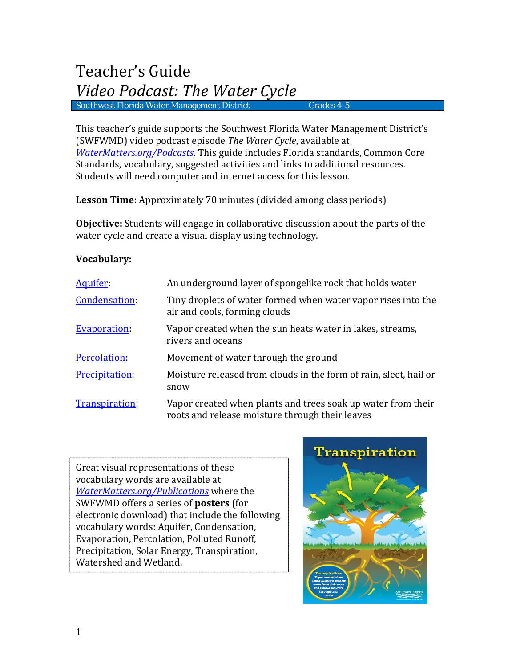This teacher's guide supports the Southwest Florida Water Management District's (SWFWMD) video podcast episode *The Water Cycle*, available at *[WaterMatters.org/Podcasts](http://www.watermatters.org/Podcasts)*. This guide includes Florida standards, Common Core Standards, vocabulary, suggested activities and links to additional resources. Students will need computer and internet access for this lesson.

**Lesson Time:** Approximately 70 minutes (divided among class periods)

**Objective:** Students will engage in collaborative discussion about the parts of the water cycle and create a visual display using technology.

# **Vocabulary:**

| Aquifer:              | An underground layer of spongelike rock that holds water                                                        |
|-----------------------|-----------------------------------------------------------------------------------------------------------------|
| Condensation:         | Tiny droplets of water formed when water vapor rises into the<br>air and cools, forming clouds                  |
| <b>Evaporation</b>    | Vapor created when the sun heats water in lakes, streams,<br>rivers and oceans                                  |
| Percolation:          | Movement of water through the ground                                                                            |
| <b>Precipitation:</b> | Moisture released from clouds in the form of rain, sleet, hail or<br>snow                                       |
| Transpiration:        | Vapor created when plants and trees soak up water from their<br>roots and release moisture through their leaves |

Great visual representations of these vocabulary words are available at *[WaterMatters.org/Publications](http://www.swfwmd.state.fl.us/publications/type/all)* where the SWFWMD offers a series of **posters** (for electronic download) that include the following vocabulary words: Aquifer, Condensation, Evaporation, Percolation, Polluted Runoff, Precipitation, Solar Energy, Transpiration, Watershed and Wetland.

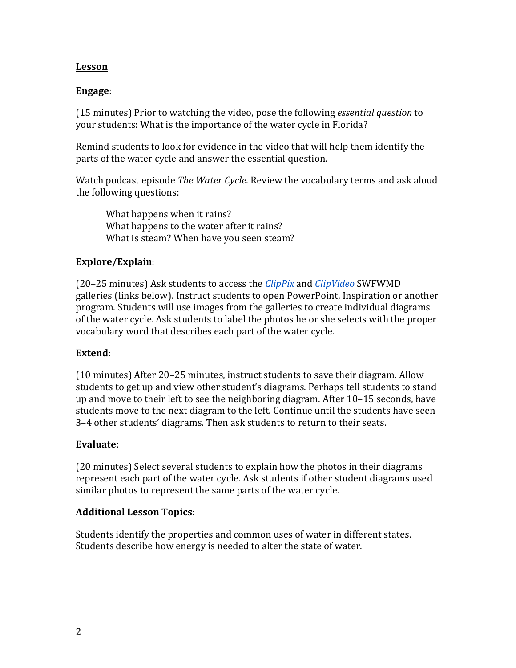# **Lesson**

# **Engage**:

(15 minutes) Prior to watching the video, pose the following *essential question* to your students: What is the importance of the water cycle in Florida?

Remind students to look for evidence in the video that will help them identify the parts of the water cycle and answer the essential question*.*

Watch podcast episode *The Water Cycle.* Review the vocabulary terms and ask aloud the following questions:

What happens when it rains? What happens to the water after it rains? What is steam? When have you seen steam?

# **Explore/Explain**:

(20–25 minutes) Ask students to access the *ClipPix* and *ClipVideo* SWFWMD galleries (links below). Instruct students to open PowerPoint, Inspiration or another program. Students will use images from the galleries to create individual diagrams of the water cycle. Ask students to label the photos he or she selects with the proper vocabulary word that describes each part of the water cycle.

## **Extend**:

(10 minutes) After 20–25 minutes, instruct students to save their diagram. Allow students to get up and view other student's diagrams. Perhaps tell students to stand up and move to their left to see the neighboring diagram. After 10–15 seconds, have students move to the next diagram to the left. Continue until the students have seen 3–4 other students' diagrams. Then ask students to return to their seats.

## **Evaluate**:

(20 minutes) Select several students to explain how the photos in their diagrams represent each part of the water cycle. Ask students if other student diagrams used similar photos to represent the same parts of the water cycle.

## **Additional Lesson Topics**:

Students identify the properties and common uses of water in different states. Students describe how energy is needed to alter the state of water.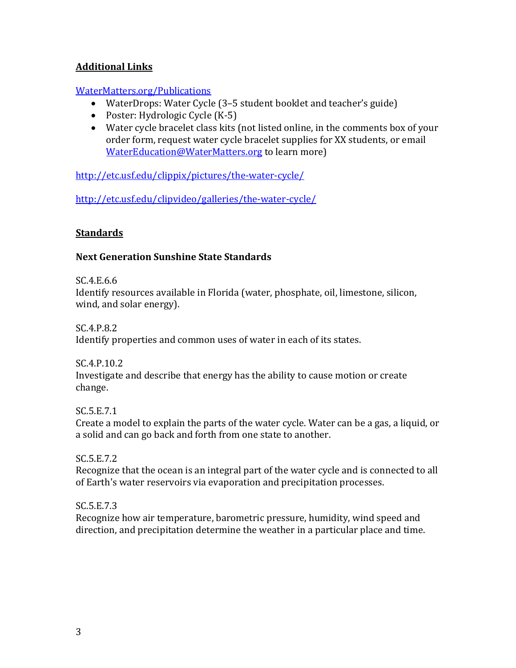# **Additional Links**

## [WaterMatters.org/Publications](http://www.watermatters.org/publications)

- WaterDrops: Water Cycle (3–5 student booklet and teacher's guide)
- Poster: Hydrologic Cycle (K-5)
- Water cycle bracelet class kits (not listed online, in the comments box of your order form, request water cycle bracelet supplies for XX students, or email [WaterEducation@WaterMatters.org](mailto:WaterEducation@WaterMatters.org) to learn more)

<http://etc.usf.edu/clippix/pictures/the-water-cycle/>

<http://etc.usf.edu/clipvideo/galleries/the-water-cycle/>

# **Standards**

# **Next Generation Sunshine State Standards**

SC.4.E.6.6

Identify resources available in Florida (water, phosphate, oil, limestone, silicon, wind, and solar energy).

SC.4.P.8.2

Identify properties and common uses of water in each of its states.

SC.4.P.10.2 Investigate and describe that energy has the ability to cause motion or create change.

SC.5.E.7.1

Create a model to explain the parts of the water cycle. Water can be a gas, a liquid, or a solid and can go back and forth from one state to another.

SC.5.E.7.2

Recognize that the ocean is an integral part of the water cycle and is connected to all of Earth's water reservoirs via evaporation and precipitation processes.

## SC.5.E.7.3

Recognize how air temperature, barometric pressure, humidity, wind speed and direction, and precipitation determine the weather in a particular place and time.